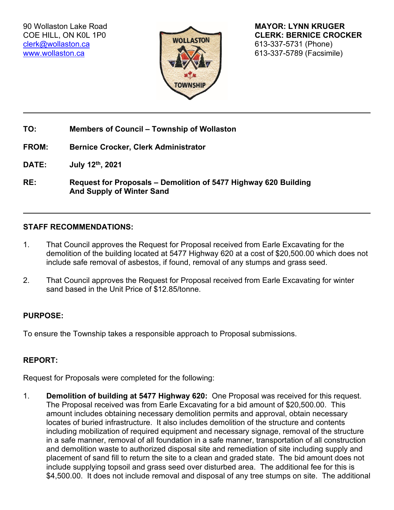[clerk@wollaston.ca](mailto:clerk@wollaston.ca) 613-337-5731 (Phone)



90 Wollaston Lake Road **MAYOR: LYNN KRUGER** COE HILL, ON KOL 1P0 **CLERK: BERNICE CROCKER** [www.wollaston.ca](http://www.wollaston.ca/) **CONTROLLER INTERNATIONAL CONTROLLER INTERNATIONAL CONTROLLER INTERNATIONAL CONTROLLER IN STRUCTURE** 

- **TO: Members of Council – Township of Wollaston**
- **FROM: Bernice Crocker, Clerk Administrator**

**DATE: July 12th, 2021**

**RE: Request for Proposals – Demolition of 5477 Highway 620 Building And Supply of Winter Sand**

## **STAFF RECOMMENDATIONS:**

- 1. That Council approves the Request for Proposal received from Earle Excavating for the demolition of the building located at 5477 Highway 620 at a cost of \$20,500.00 which does not include safe removal of asbestos, if found, removal of any stumps and grass seed.
- 2. That Council approves the Request for Proposal received from Earle Excavating for winter sand based in the Unit Price of \$12.85/tonne.

## **PURPOSE:**

To ensure the Township takes a responsible approach to Proposal submissions.

## **REPORT:**

Request for Proposals were completed for the following:

1. **Demolition of building at 5477 Highway 620:** One Proposal was received for this request. The Proposal received was from Earle Excavating for a bid amount of \$20,500.00. This amount includes obtaining necessary demolition permits and approval, obtain necessary locates of buried infrastructure. It also includes demolition of the structure and contents including mobilization of required equipment and necessary signage, removal of the structure in a safe manner, removal of all foundation in a safe manner, transportation of all construction and demolition waste to authorized disposal site and remediation of site including supply and placement of sand fill to return the site to a clean and graded state. The bid amount does not include supplying topsoil and grass seed over disturbed area. The additional fee for this is \$4,500.00. It does not include removal and disposal of any tree stumps on site. The additional